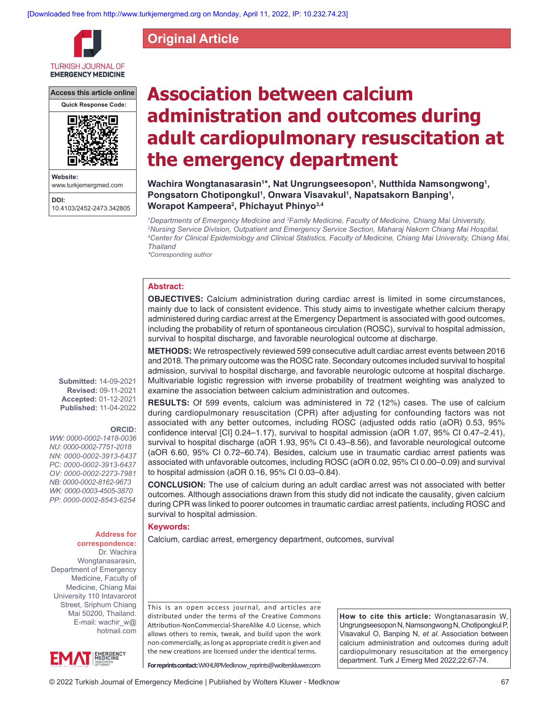**Original Article**

**TURKISH JOURNAL OF EMERGENCY MEDICINE** 

**Access this article online**



**Website:** www.turkjemergmed.com **DOI:** 10.4103/2452-2473.342805

# **Association between calcium administration and outcomes during adult cardiopulmonary resuscitation at the emergency department**

Wachira Wongtanasarasin<sup>1</sup>\*, Nat Ungrungseesopon<sup>1</sup>, Nutthida Namsongwong<sup>1</sup>, Pongsatorn Chotipongkul<sup>1</sup>, Onwara Visavakul<sup>1</sup>, Napatsakorn Banping<sup>1</sup>, **Worapot Kampeera2 , Phichayut Phinyo3,4**

*1 Departments of Emergency Medicine and 3 Family Medicine, Faculty of Medicine, Chiang Mai University, 2 Nursing Service Division, Outpatient and Emergency Service Section, Maharaj Nakorn Chiang Mai Hospital, 4 Center for Clinical Epidemiology and Clinical Statistics, Faculty of Medicine, Chiang Mai University, Chiang Mai, Thailand*

*\*Corresponding author*

## **Abstract:**

**OBJECTIVES:** Calcium administration during cardiac arrest is limited in some circumstances, mainly due to lack of consistent evidence. This study aims to investigate whether calcium therapy administered during cardiac arrest at the Emergency Department is associated with good outcomes, including the probability of return of spontaneous circulation (ROSC), survival to hospital admission, survival to hospital discharge, and favorable neurological outcome at discharge.

**METHODS:** We retrospectively reviewed 599 consecutive adult cardiac arrest events between 2016 and 2018. The primary outcome was the ROSC rate. Secondary outcomes included survival to hospital admission, survival to hospital discharge, and favorable neurologic outcome at hospital discharge. Multivariable logistic regression with inverse probability of treatment weighting was analyzed to examine the association between calcium administration and outcomes.

**RESULTS:** Of 599 events, calcium was administered in 72 (12%) cases. The use of calcium during cardiopulmonary resuscitation (CPR) after adjusting for confounding factors was not associated with any better outcomes, including ROSC (adjusted odds ratio (aOR) 0.53, 95% confidence interval [CI] 0.24–1.17), survival to hospital admission (aOR 1.07, 95% CI 0.47–2.41), survival to hospital discharge (aOR 1.93, 95% CI 0.43–8.56), and favorable neurological outcome (aOR 6.60, 95% CI 0.72–60.74). Besides, calcium use in traumatic cardiac arrest patients was associated with unfavorable outcomes, including ROSC (aOR 0.02, 95% CI 0.00–0.09) and survival to hospital admission (aOR 0.16, 95% CI 0.03–0.84).

**CONCLUSION:** The use of calcium during an adult cardiac arrest was not associated with better outcomes. Although associations drawn from this study did not indicate the causality, given calcium during CPR was linked to poorer outcomes in traumatic cardiac arrest patients, including ROSC and survival to hospital admission.

## **Keywords:**

Address for | Calcium, cardiac arrest, emergency department, outcomes, survival

This is an open access journal, and articles are distributed under the terms of the Creative Commons Attribution‑NonCommercial‑ShareAlike 4.0 License, which allows others to remix, tweak, and build upon the work non‑commercially, as long as appropriate credit is given and the new creations are licensed under the identical terms.

**How to cite this article:** Wongtanasarasin W, Ungrungseesopon N, Namsongwong N, Chotipongkul P, Visavakul O, Banping N, *et al*. Association between calcium administration and outcomes during adult cardiopulmonary resuscitation at the emergency department. Turk J Emerg Med 2022;22:67-74.

**For reprints contact:** WKHLRPMedknow\_reprints@wolterskluwer.com

**Submitted:** 14-09-2021 **Revised:** 09-11-2021 **Accepted:** 01-12-2021 **Published:** 11-04-2022

#### **ORCID:**

*WW: 0000‑0002‑1418‑0036 NU: 0000‑0002‑7751‑2018 NN: 0000‑0002‑3913‑6437 PC: 0000‑0002‑3913‑6437 OV: 0000‑0002‑2273‑7981 NB: 0000‑0002‑8162‑9673 WK: 0000‑0003‑4505‑3870 PP: 0000‑0002‑8543‑6254*

# **correspondence:**

Dr. Wachira Wongtanasarasin, Department of Emergency Medicine, Faculty of Medicine, Chiang Mai University 110 Intavarorot Street, Sriphum Chiang Mai 50200, Thailand. E-mail: wachir\_w@ hotmail.com

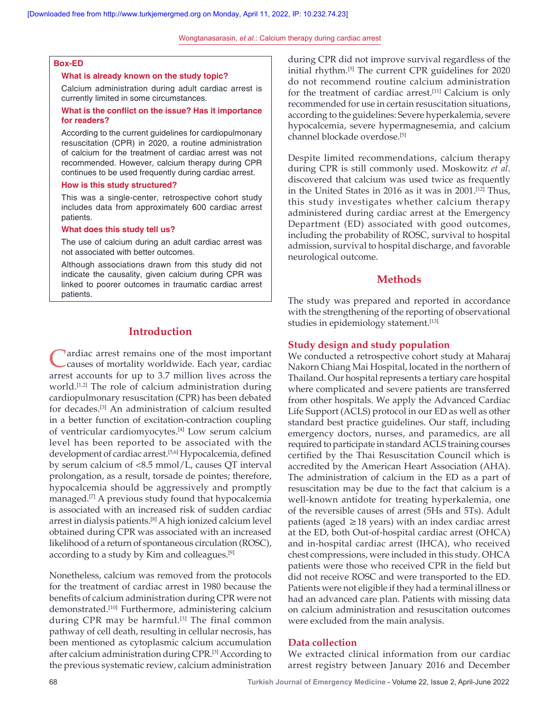## **Box‑ED**

#### **What is already known on the study topic?**

Calcium administration during adult cardiac arrest is currently limited in some circumstances.

## **What is the conflict on the issue? Has it importance for readers?**

According to the current guidelines for cardiopulmonary resuscitation (CPR) in 2020, a routine administration of calcium for the treatment of cardiac arrest was not recommended. However, calcium therapy during CPR continues to be used frequently during cardiac arrest.

### **How is this study structured?**

This was a single-center, retrospective cohort study includes data from approximately 600 cardiac arrest patients.

#### **What does this study tell us?**

The use of calcium during an adult cardiac arrest was not associated with better outcomes.

Although associations drawn from this study did not indicate the causality, given calcium during CPR was linked to poorer outcomes in traumatic cardiac arrest patients.

# **Introduction**

Cardiac arrest remains one of the most important<br>Causes of mortality worldwide. Each year, cardiac arrest accounts for up to 3.7 million lives across the world.<sup>[1,2]</sup> The role of calcium administration during cardiopulmonary resuscitation (CPR) has been debated for decades.[3] An administration of calcium resulted in a better function of excitation‑contraction coupling of ventricular cardiomyocytes.<sup>[4]</sup> Low serum calcium level has been reported to be associated with the development of cardiac arrest.[5,6] Hypocalcemia, defined by serum calcium of <8.5 mmol/L, causes QT interval prolongation, as a result, torsade de pointes; therefore, hypocalcemia should be aggressively and promptly managed.[7] A previous study found that hypocalcemia is associated with an increased risk of sudden cardiac arrest in dialysis patients.[8] A high ionized calcium level obtained during CPR was associated with an increased likelihood of a return of spontaneous circulation (ROSC), according to a study by Kim and colleagues.[9]

Nonetheless, calcium was removed from the protocols for the treatment of cardiac arrest in 1980 because the benefits of calcium administration during CPR were not demonstrated.[10] Furthermore, administering calcium during CPR may be harmful.<sup>[3]</sup> The final common pathway of cell death, resulting in cellular necrosis, has been mentioned as cytoplasmic calcium accumulation after calcium administration during CPR.[3] According to the previous systematic review, calcium administration

during CPR did not improve survival regardless of the initial rhythm.<sup>[5]</sup> The current CPR guidelines for 2020 do not recommend routine calcium administration for the treatment of cardiac arrest.[11] Calcium is only recommended for use in certain resuscitation situations, according to the guidelines: Severe hyperkalemia, severe hypocalcemia, severe hypermagnesemia, and calcium channel blockade overdose.[5]

Despite limited recommendations, calcium therapy during CPR is still commonly used. Moskowitz *et al*. discovered that calcium was used twice as frequently in the United States in 2016 as it was in 2001.[12] Thus, this study investigates whether calcium therapy administered during cardiac arrest at the Emergency Department (ED) associated with good outcomes, including the probability of ROSC, survival to hospital admission, survival to hospital discharge, and favorable neurological outcome.

## **Methods**

The study was prepared and reported in accordance with the strengthening of the reporting of observational studies in epidemiology statement.<sup>[13]</sup>

## **Study design and study population**

We conducted a retrospective cohort study at Maharaj Nakorn Chiang Mai Hospital, located in the northern of Thailand. Our hospital represents a tertiary care hospital where complicated and severe patients are transferred from other hospitals. We apply the Advanced Cardiac Life Support (ACLS) protocol in our ED as well as other standard best practice guidelines. Our staff, including emergency doctors, nurses, and paramedics, are all required to participate in standard ACLS training courses certified by the Thai Resuscitation Council which is accredited by the American Heart Association (AHA). The administration of calcium in the ED as a part of resuscitation may be due to the fact that calcium is a well-known antidote for treating hyperkalemia, one of the reversible causes of arrest (5Hs and 5Ts). Adult patients (aged ≥18 years) with an index cardiac arrest at the ED, both Out‑of‑hospital cardiac arrest (OHCA) and in‑hospital cardiac arrest (IHCA), who received chest compressions, were included in this study. OHCA patients were those who received CPR in the field but did not receive ROSC and were transported to the ED. Patients were not eligible if they had a terminal illness or had an advanced care plan. Patients with missing data on calcium administration and resuscitation outcomes were excluded from the main analysis.

## **Data collection**

We extracted clinical information from our cardiac arrest registry between January 2016 and December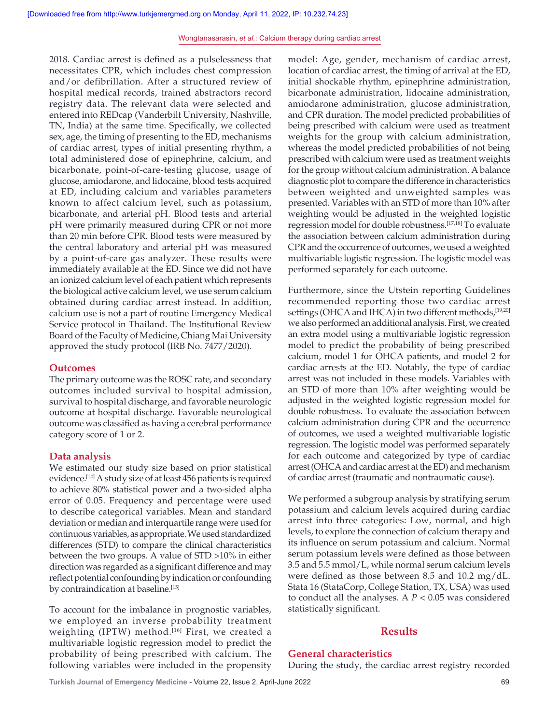2018. Cardiac arrest is defined as a pulselessness that necessitates CPR, which includes chest compression and/or defibrillation. After a structured review of hospital medical records, trained abstractors record registry data. The relevant data were selected and entered into REDcap (Vanderbilt University, Nashville, TN, India) at the same time. Specifically, we collected sex, age, the timing of presenting to the ED, mechanisms of cardiac arrest, types of initial presenting rhythm, a total administered dose of epinephrine, calcium, and bicarbonate, point-of-care-testing glucose, usage of glucose, amiodarone, and lidocaine, blood tests acquired at ED, including calcium and variables parameters known to affect calcium level, such as potassium, bicarbonate, and arterial pH. Blood tests and arterial pH were primarily measured during CPR or not more than 20 min before CPR. Blood tests were measured by the central laboratory and arterial pH was measured by a point-of-care gas analyzer. These results were immediately available at the ED. Since we did not have an ionized calcium level of each patient which represents the biological active calcium level, we use serum calcium obtained during cardiac arrest instead. In addition, calcium use is not a part of routine Emergency Medical Service protocol in Thailand. The Institutional Review Board of the Faculty of Medicine, Chiang Mai University approved the study protocol (IRB No. 7477/2020).

## **Outcomes**

The primary outcome was the ROSC rate, and secondary outcomes included survival to hospital admission, survival to hospital discharge, and favorable neurologic outcome at hospital discharge. Favorable neurological outcome was classified as having a cerebral performance category score of 1 or 2.

#### **Data analysis**

We estimated our study size based on prior statistical evidence.[14] A study size of at least 456 patients is required to achieve 80% statistical power and a two-sided alpha error of 0.05. Frequency and percentage were used to describe categorical variables. Mean and standard deviation or median and interquartile range were used for continuous variables, as appropriate. We used standardized differences (STD) to compare the clinical characteristics between the two groups. A value of STD >10% in either direction was regarded as a significant difference and may reflect potential confounding by indication or confounding by contraindication at baseline.<sup>[15]</sup>

To account for the imbalance in prognostic variables, we employed an inverse probability treatment weighting (IPTW) method.<sup>[16]</sup> First, we created a multivariable logistic regression model to predict the probability of being prescribed with calcium. The following variables were included in the propensity model: Age, gender, mechanism of cardiac arrest, location of cardiac arrest, the timing of arrival at the ED, initial shockable rhythm, epinephrine administration, bicarbonate administration, lidocaine administration, amiodarone administration, glucose administration, and CPR duration. The model predicted probabilities of being prescribed with calcium were used as treatment weights for the group with calcium administration, whereas the model predicted probabilities of not being prescribed with calcium were used as treatment weights for the group without calcium administration. A balance diagnostic plot to compare the difference in characteristics between weighted and unweighted samples was presented. Variables with an STD of more than 10% after weighting would be adjusted in the weighted logistic regression model for double robustness.[17,18] To evaluate the association between calcium administration during CPR and the occurrence of outcomes, we used a weighted multivariable logistic regression. The logistic model was performed separately for each outcome.

Furthermore, since the Utstein reporting Guidelines recommended reporting those two cardiac arrest settings (OHCA and IHCA) in two different methods,<sup>[19,20]</sup> we also performed an additional analysis. First, we created an extra model using a multivariable logistic regression model to predict the probability of being prescribed calcium, model 1 for OHCA patients, and model 2 for cardiac arrests at the ED. Notably, the type of cardiac arrest was not included in these models. Variables with an STD of more than 10% after weighting would be adjusted in the weighted logistic regression model for double robustness. To evaluate the association between calcium administration during CPR and the occurrence of outcomes, we used a weighted multivariable logistic regression. The logistic model was performed separately for each outcome and categorized by type of cardiac arrest(OHCA and cardiac arrest at the ED) and mechanism of cardiac arrest (traumatic and nontraumatic cause).

We performed a subgroup analysis by stratifying serum potassium and calcium levels acquired during cardiac arrest into three categories: Low, normal, and high levels, to explore the connection of calcium therapy and its influence on serum potassium and calcium. Normal serum potassium levels were defined as those between 3.5 and 5.5 mmol/L, while normal serum calcium levels were defined as those between 8.5 and 10.2 mg/dL. Stata 16 (StataCorp, College Station, TX, USA) was used to conduct all the analyses. A *P* < 0.05 was considered statistically significant.

## **Results**

## **General characteristics**

During the study, the cardiac arrest registry recorded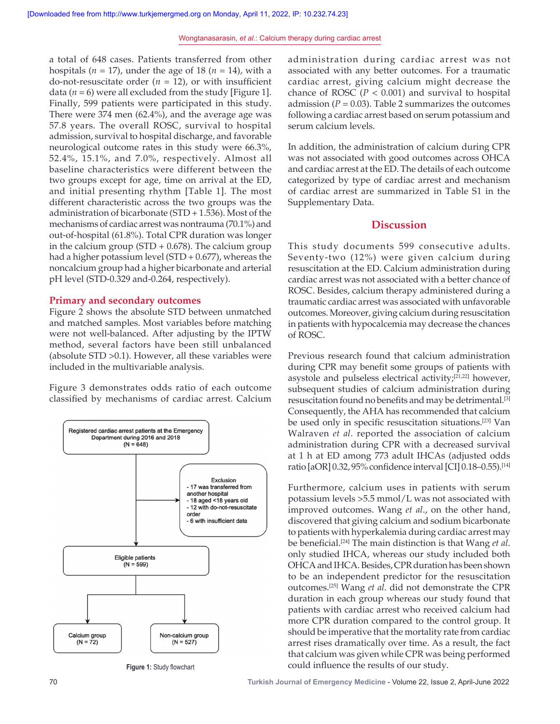a total of 648 cases. Patients transferred from other hospitals ( $n = 17$ ), under the age of 18 ( $n = 14$ ), with a do-not-resuscitate order  $(n = 12)$ , or with insufficient data  $(n = 6)$  were all excluded from the study [Figure 1]. Finally, 599 patients were participated in this study. There were 374 men (62.4%), and the average age was 57.8 years. The overall ROSC, survival to hospital admission, survival to hospital discharge, and favorable neurological outcome rates in this study were 66.3%, 52.4%, 15.1%, and 7.0%, respectively. Almost all baseline characteristics were different between the two groups except for age, time on arrival at the ED, and initial presenting rhythm [Table 1]. The most different characteristic across the two groups was the administration of bicarbonate (STD + 1.536). Most of the mechanisms of cardiac arrest was nontrauma (70.1%) and out-of-hospital (61.8%). Total CPR duration was longer in the calcium group (STD  $+$  0.678). The calcium group had a higher potassium level (STD + 0.677), whereas the noncalcium group had a higher bicarbonate and arterial pH level (STD-0.329 and-0.264, respectively).

### **Primary and secondary outcomes**

Figure 2 shows the absolute STD between unmatched and matched samples. Most variables before matching were not well-balanced. After adjusting by the IPTW method, several factors have been still unbalanced (absolute STD >0.1). However, all these variables were included in the multivariable analysis.

Figure 3 demonstrates odds ratio of each outcome classified by mechanisms of cardiac arrest. Calcium



administration during cardiac arrest was not associated with any better outcomes. For a traumatic cardiac arrest, giving calcium might decrease the chance of ROSC ( $P < 0.001$ ) and survival to hospital admission  $(P = 0.03)$ . Table 2 summarizes the outcomes following a cardiac arrest based on serum potassium and serum calcium levels.

In addition, the administration of calcium during CPR was not associated with good outcomes across OHCA and cardiac arrest at the ED. The details of each outcome categorized by type of cardiac arrest and mechanism of cardiac arrest are summarized in Table S1 in the Supplementary Data.

## **Discussion**

This study documents 599 consecutive adults. Seventy-two (12%) were given calcium during resuscitation at the ED. Calcium administration during cardiac arrest was not associated with a better chance of ROSC. Besides, calcium therapy administered during a traumatic cardiac arrest was associated with unfavorable outcomes. Moreover, giving calcium during resuscitation in patients with hypocalcemia may decrease the chances of ROSC.

Previous research found that calcium administration during CPR may benefit some groups of patients with asystole and pulseless electrical activity;[21,22] however, subsequent studies of calcium administration during resuscitation found no benefits and may be detrimental.[3] Consequently, the AHA has recommended that calcium be used only in specific resuscitation situations.[23] Van Walraven *et al*. reported the association of calcium administration during CPR with a decreased survival at 1 h at ED among 773 adult IHCAs (adjusted odds ratio [aOR] 0.32, 95% confidence interval[CI] 0.18–0.55).[14]

Furthermore, calcium uses in patients with serum potassium levels >5.5 mmol/L was not associated with improved outcomes. Wang *et al*., on the other hand, discovered that giving calcium and sodium bicarbonate to patients with hyperkalemia during cardiac arrest may be beneficial.[24] The main distinction is that Wang *et al*. only studied IHCA, whereas our study included both OHCA and IHCA. Besides, CPR duration has been shown to be an independent predictor for the resuscitation outcomes.[25] Wang *et al*. did not demonstrate the CPR duration in each group whereas our study found that patients with cardiac arrest who received calcium had more CPR duration compared to the control group. It should be imperative that the mortality rate from cardiac arrest rises dramatically over time. As a result, the fact that calcium was given while CPR was being performed Figure 1: Study flowchart **1:** could influence the results of our study.

70 **Turkish Journal of Emergency Medicine** - Volume 22, Issue 2, April-June 2022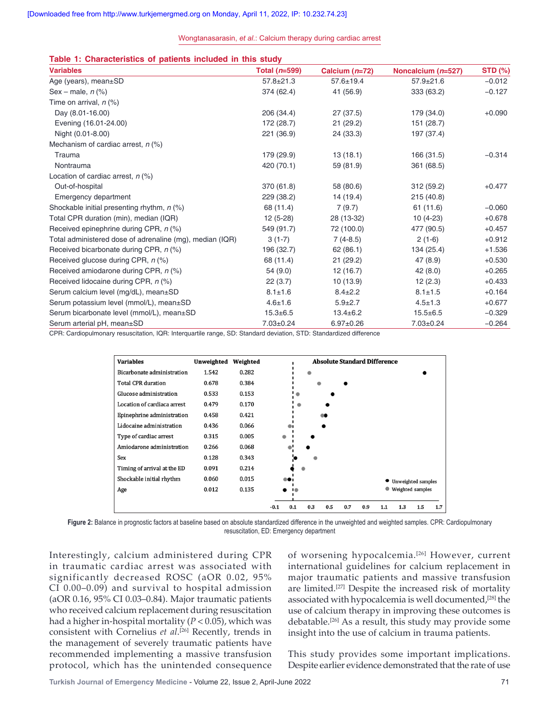| Table 1: Characteristics of patients included in this study |  |  |  |
|-------------------------------------------------------------|--|--|--|
|-------------------------------------------------------------|--|--|--|

| <b>Variables</b>                                         | Total $(n=599)$ | Calcium $(n=72)$ | Noncalcium $(n=527)$ | <b>STD (%)</b> |  |
|----------------------------------------------------------|-----------------|------------------|----------------------|----------------|--|
| Age (years), mean±SD                                     | $57.8 \pm 21.3$ | $57.6 \pm 19.4$  | $57.9 \pm 21.6$      | $-0.012$       |  |
| Sex – male, $n$ (%)                                      | 374 (62.4)      | 41 (56.9)        | 333 (63.2)           | $-0.127$       |  |
| Time on arrival, $n$ (%)                                 |                 |                  |                      |                |  |
| Day (8.01-16.00)                                         | 206 (34.4)      | 27(37.5)         | 179 (34.0)           | $+0.090$       |  |
| Evening (16.01-24.00)                                    | 172 (28.7)      | 21(29.2)         | 151 (28.7)           |                |  |
| Night (0.01-8.00)                                        | 221 (36.9)      | 24 (33.3)        | 197 (37.4)           |                |  |
| Mechanism of cardiac arrest, $n$ (%)                     |                 |                  |                      |                |  |
| Trauma                                                   | 179 (29.9)      | 13(18.1)         | 166 (31.5)           | $-0.314$       |  |
| Nontrauma                                                | 420 (70.1)      | 59 (81.9)        | 361 (68.5)           |                |  |
| Location of cardiac arrest, $n$ (%)                      |                 |                  |                      |                |  |
| Out-of-hospital                                          | 370 (61.8)      | 58 (80.6)        | 312 (59.2)           | $+0.477$       |  |
| Emergency department                                     | 229 (38.2)      | 14 (19.4)        | 215 (40.8)           |                |  |
| Shockable initial presenting rhythm, $n$ (%)             | 68 (11.4)       | 7(9.7)           | 61(11.6)             | $-0.060$       |  |
| Total CPR duration (min), median (IQR)                   | $12(5-28)$      | 28 (13-32)       | $10(4-23)$           | $+0.678$       |  |
| Received epinephrine during CPR, n (%)                   | 549 (91.7)      | 72 (100.0)       | 477 (90.5)           | $+0.457$       |  |
| Total administered dose of adrenaline (mg), median (IQR) | $3(1-7)$        | $7(4-8.5)$       | $2(1-6)$             | $+0.912$       |  |
| Received bicarbonate during CPR, n (%)                   | 196 (32.7)      | 62(86.1)         | 134 (25.4)           | $+1.536$       |  |
| Received glucose during CPR, n (%)                       | 68 (11.4)       | 21(29.2)         | 47(8.9)              | $+0.530$       |  |
| Received amiodarone during CPR, n (%)                    | 54(9.0)         | 12(16.7)         | 42(8.0)              | $+0.265$       |  |
| Received lidocaine during CPR, n (%)                     | 22(3.7)         | 10(13.9)         | 12(2.3)              | $+0.433$       |  |
| Serum calcium level (mg/dL), mean±SD                     | $8.1 \pm 1.6$   | $8.4 \pm 2.2$    | $8.1 \pm 1.5$        | $+0.164$       |  |
| Serum potassium level (mmol/L), mean±SD                  | $4.6 \pm 1.6$   | $5.9 \pm 2.7$    | $4.5 \pm 1.3$        | $+0.677$       |  |
| Serum bicarbonate level (mmol/L), mean±SD                | $15.3 \pm 6.5$  | $13.4 \pm 6.2$   | $15.5 + 6.5$         | $-0.329$       |  |
| Serum arterial pH, mean±SD                               | $7.03 \pm 0.24$ | $6.97+0.26$      | $7.03 \pm 0.24$      | $-0.264$       |  |

CPR: Cardiopulmonary resuscitation, IQR: Interquartile range, SD: Standard deviation, STD: Standardized difference



**Figure 2:** Balance in prognostic factors at baseline based on absolute standardized difference in the unweighted and weighted samples. CPR: Cardiopulmonary resuscitation, ED: Emergency department

Interestingly, calcium administered during CPR in traumatic cardiac arrest was associated with significantly decreased ROSC (aOR 0.02, 95% CI 0.00–0.09) and survival to hospital admission (aOR 0.16, 95% CI 0.03–0.84). Major traumatic patients who received calcium replacement during resuscitation had a higher in‑hospital mortality (*P* < 0.05), which was consistent with Cornelius *et al*. [26] Recently, trends in the management of severely traumatic patients have recommended implementing a massive transfusion protocol, which has the unintended consequence

of worsening hypocalcemia.<sup>[26]</sup> However, current international guidelines for calcium replacement in major traumatic patients and massive transfusion are limited.<sup>[27]</sup> Despite the increased risk of mortality associated with hypocalcemia is well documented,<sup>[28]</sup> the use of calcium therapy in improving these outcomes is debatable.[26] As a result, this study may provide some insight into the use of calcium in trauma patients.

This study provides some important implications. Despite earlier evidence demonstrated that the rate of use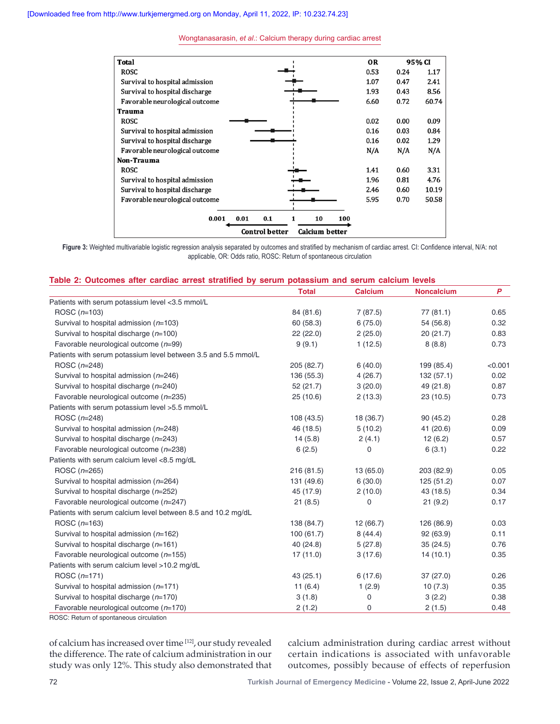

**Figure 3:** Weighted multivariable logistic regression analysis separated by outcomes and stratified by mechanism of cardiac arrest. CI: Confidence interval, N/A: not applicable, OR: Odds ratio, ROSC: Return of spontaneous circulation

## **Table 2: Outcomes after cardiac arrest stratified by serum potassium and serum calcium levels**

|                                                                | <b>Total</b> | <b>Calcium</b>      | <b>Noncalcium</b> | P       |
|----------------------------------------------------------------|--------------|---------------------|-------------------|---------|
| Patients with serum potassium level <3.5 mmol/L                |              |                     |                   |         |
| ROSC $(n=103)$                                                 | 84 (81.6)    | 7(87.5)<br>77(81.1) |                   | 0.65    |
| Survival to hospital admission ( $n=103$ )                     | 60 (58.3)    | 6(75.0)             | 54 (56.8)         | 0.32    |
| Survival to hospital discharge $(n=100)$                       | 22(22.0)     | 2(25.0)             | 20(21.7)          | 0.83    |
| Favorable neurological outcome $(n=99)$                        | 9(9.1)       | 1(12.5)             | 8(8.8)            | 0.73    |
| Patients with serum potassium level between 3.5 and 5.5 mmol/L |              |                     |                   |         |
| ROSC $(n=248)$                                                 | 205 (82.7)   | 6(40.0)             | 199 (85.4)        | < 0.001 |
| Survival to hospital admission (n=246)                         | 136 (55.3)   | 4(26.7)             | 132(57.1)         | 0.02    |
| Survival to hospital discharge (n=240)                         | 52(21.7)     | 3(20.0)             | 49 (21.8)         | 0.87    |
| Favorable neurological outcome $(n=235)$                       | 25(10.6)     | 2(13.3)             | 23(10.5)          | 0.73    |
| Patients with serum potassium level >5.5 mmol/L                |              |                     |                   |         |
| ROSC $(n=248)$                                                 | 108 (43.5)   | 18 (36.7)           | 90(45.2)          | 0.28    |
| Survival to hospital admission (n=248)                         | 46 (18.5)    | 5(10.2)             | 41 (20.6)         | 0.09    |
| Survival to hospital discharge (n=243)                         | 14(5.8)      | 2(4.1)              | 12(6.2)           | 0.57    |
| Favorable neurological outcome $(n=238)$                       | 6(2.5)       | $\mathbf 0$         | 6(3.1)            | 0.22    |
| Patients with serum calcium level <8.5 mg/dL                   |              |                     |                   |         |
| ROSC $(n=265)$                                                 | 216 (81.5)   | 13(65.0)            | 203 (82.9)        | 0.05    |
| Survival to hospital admission (n=264)                         | 131 (49.6)   | 6(30.0)             | 125(51.2)         | 0.07    |
| Survival to hospital discharge (n=252)                         | 45 (17.9)    | 2(10.0)             | 43 (18.5)         | 0.34    |
| Favorable neurological outcome $(n=247)$                       | 21(8.5)      | 0                   | 21(9.2)           | 0.17    |
| Patients with serum calcium level between 8.5 and 10.2 mg/dL   |              |                     |                   |         |
| ROSC $(n=163)$                                                 | 138 (84.7)   | 12(66.7)            | 126 (86.9)        | 0.03    |
| Survival to hospital admission ( $n=162$ )                     | 100(61.7)    | 8(44.4)             | 92 (63.9)         | 0.11    |
| Survival to hospital discharge $(n=161)$                       | 40 (24.8)    | 5(27.8)             | 35(24.5)          | 0.76    |
| Favorable neurological outcome $(n=155)$                       | 17(11.0)     | 3(17.6)             | 14(10.1)          | 0.35    |
| Patients with serum calcium level >10.2 mg/dL                  |              |                     |                   |         |
| ROSC $(n=171)$                                                 | 43 (25.1)    | 6(17.6)             | 37(27.0)          | 0.26    |
| Survival to hospital admission $(n=171)$                       | 11(6.4)      | 1(2.9)              | 10(7.3)           | 0.35    |
| Survival to hospital discharge $(n=170)$                       | 3(1.8)       | $\mathbf 0$         | 3(2.2)            | 0.38    |
| Favorable neurological outcome $(n=170)$                       | 2(1.2)       | 0                   | 2(1.5)            | 0.48    |
|                                                                |              |                     |                   |         |

ROSC: Return of spontaneous circulation

of calcium has increased over time [12], our study revealed the difference. The rate of calcium administration in our study was only 12%. This study also demonstrated that calcium administration during cardiac arrest without certain indications is associated with unfavorable outcomes, possibly because of effects of reperfusion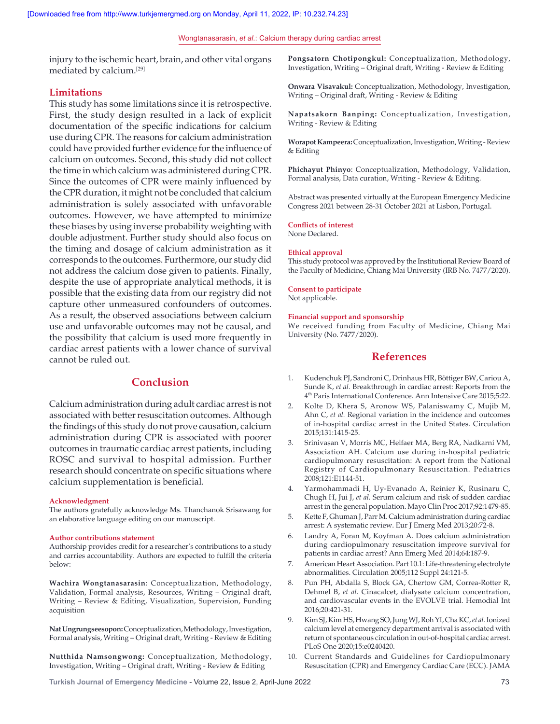injury to the ischemic heart, brain, and other vital organs mediated by calcium.[29]

## **Limitations**

This study has some limitations since it is retrospective. First, the study design resulted in a lack of explicit documentation of the specific indications for calcium use during CPR. The reasons for calcium administration could have provided further evidence for the influence of calcium on outcomes. Second, this study did not collect the time in which calcium was administered during CPR. Since the outcomes of CPR were mainly influenced by the CPR duration, it might not be concluded that calcium administration is solely associated with unfavorable outcomes. However, we have attempted to minimize these biases by using inverse probability weighting with double adjustment. Further study should also focus on the timing and dosage of calcium administration as it corresponds to the outcomes. Furthermore, our study did not address the calcium dose given to patients. Finally, despite the use of appropriate analytical methods, it is possible that the existing data from our registry did not capture other unmeasured confounders of outcomes. As a result, the observed associations between calcium use and unfavorable outcomes may not be causal, and the possibility that calcium is used more frequently in cardiac arrest patients with a lower chance of survival cannot be ruled out.

# **Conclusion**

Calcium administration during adult cardiac arrest is not associated with better resuscitation outcomes. Although the findings of this study do not prove causation, calcium administration during CPR is associated with poorer outcomes in traumatic cardiac arrest patients, including ROSC and survival to hospital admission. Further research should concentrate on specific situations where calcium supplementation is beneficial.

#### **Acknowledgment**

The authors gratefully acknowledge Ms. Thanchanok Srisawang for an elaborative language editing on our manuscript.

#### **Author contributions statement**

Authorship provides credit for a researcher's contributions to a study and carries accountability. Authors are expected to fulfill the criteria below:

**Wachira Wongtanasarasin**: Conceptualization, Methodology, Validation, Formal analysis, Resources, Writing – Original draft, Writing – Review & Editing, Visualization, Supervision, Funding acquisition

**Nat Ungrungseesopon:** Conceptualization, Methodology, Investigation, Formal analysis, Writing – Original draft, Writing ‑ Review & Editing

**Nutthida Namsongwong:** Conceptualization, Methodology, Investigation, Writing – Original draft, Writing ‑ Review & Editing

**Pongsatorn Chotipongkul:** Conceptualization, Methodology, Investigation, Writing – Original draft, Writing ‑ Review & Editing

**Onwara Visavakul:** Conceptualization, Methodology, Investigation, Writing – Original draft, Writing ‑ Review & Editing

**Napatsakorn Banping:** Conceptualization, Investigation, Writing ‑ Review & Editing

**Worapot Kampeera:** Conceptualization, Investigation, Writing ‑Review & Editing

**Phichayut Phinyo**: Conceptualization, Methodology, Validation, Formal analysis, Data curation, Writing ‑ Review & Editing.

Abstract was presented virtually at the European Emergency Medicine Congress 2021 between 28-31 October 2021 at Lisbon, Portugal.

#### **Conflicts of interest**

None Declared.

#### **Ethical approval**

This study protocol was approved by the Institutional Review Board of the Faculty of Medicine, Chiang Mai University (IRB No. 7477/2020).

#### **Consent to participate**

Not applicable.

# **Financial support and sponsorship**

We received funding from Faculty of Medicine, Chiang Mai University (No. 7477/2020).

# **References**

- 1. Kudenchuk PJ, Sandroni C, Drinhaus HR, Böttiger BW, Cariou A, Sunde K, *et al.* Breakthrough in cardiac arrest: Reports from the 4th Paris International Conference. Ann Intensive Care 2015;5:22.
- 2. Kolte D, Khera S, Aronow WS, Palaniswamy C, Mujib M, Ahn C, *et al.* Regional variation in the incidence and outcomes of in‑hospital cardiac arrest in the United States. Circulation 2015;131:1415‑25.
- 3. Srinivasan V, Morris MC, Helfaer MA, Berg RA, Nadkarni VM, Association AH. Calcium use during in‑hospital pediatric cardiopulmonary resuscitation: A report from the National Registry of Cardiopulmonary Resuscitation. Pediatrics 2008;121:E1144‑51.
- 4. Yarmohammadi H, Uy‑Evanado A, Reinier K, Rusinaru C, Chugh H, Jui J, *et al.* Serum calcium and risk of sudden cardiac arrest in the general population. Mayo Clin Proc 2017;92:1479‑85.
- 5. Kette F, Ghuman J, Parr M. Calcium administration during cardiac arrest: A systematic review. Eur J Emerg Med 2013;20:72‑8.
- 6. Landry A, Foran M, Koyfman A. Does calcium administration during cardiopulmonary resuscitation improve survival for patients in cardiac arrest? Ann Emerg Med 2014;64:187‑9.
- 7. American Heart Association. Part 10.1: Life-threatening electrolyte abnormalities. Circulation 2005;112 Suppl 24:121‑5.
- 8. Pun PH, Abdalla S, Block GA, Chertow GM, Correa-Rotter R, Dehmel B, *et al.* Cinacalcet, dialysate calcium concentration, and cardiovascular events in the EVOLVE trial. Hemodial Int 2016;20:421‑31.
- 9. KimSJ, KimHS, Hwang SO, JungWJ, RohYI, Cha KC, *et al.* Ionized calcium level at emergency department arrival is associated with return of spontaneous circulation in out‑of‑hospital cardiac arrest. PLoS One 2020;15:e0240420.
- 10. Current Standards and Guidelines for Cardiopulmonary Resuscitation (CPR) and Emergency Cardiac Care (ECC). JAMA

**Turkish Journal of Emergency Medicine** - Volume 22, Issue 2, April-June 2022 73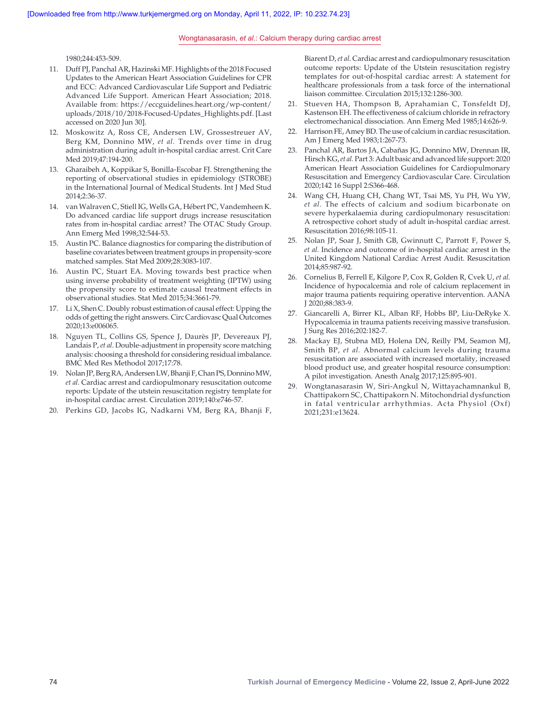1980;244:453‑509.

- 11. Duff PJ, Panchal AR, Hazinski MF. Highlights of the 2018 Focused Updates to the American Heart Association Guidelines for CPR and ECC: Advanced Cardiovascular Life Support and Pediatric Advanced Life Support. American Heart Association; 2018. Available from: https://eccguidelines.heart.org/wp‑content/ uploads/2018/10/2018‑Focused‑Updates\_Highlights.pdf. [Last accessed on 2020 Jun 30].
- 12. Moskowitz A, Ross CE, Andersen LW, Grossestreuer AV, Berg KM, Donnino MW, *et al.* Trends over time in drug administration during adult in‑hospital cardiac arrest. Crit Care Med 2019;47:194-200.
- 13. Gharaibeh A, Koppikar S, Bonilla‑Escobar FJ. Strengthening the reporting of observational studies in epidemiology (STROBE) in the International Journal of Medical Students. Int J Med Stud 2014;2:36‑37.
- 14. van Walraven C, Stiell IG, Wells GA, Hébert PC, Vandemheen K. Do advanced cardiac life support drugs increase resuscitation rates from in‑hospital cardiac arrest? The OTAC Study Group. Ann Emerg Med 1998;32:544‑53.
- 15. Austin PC. Balance diagnostics for comparing the distribution of baseline covariates between treatment groups in propensity‑score matched samples. Stat Med 2009;28:3083‑107.
- 16. Austin PC, Stuart EA. Moving towards best practice when using inverse probability of treatment weighting (IPTW) using the propensity score to estimate causal treatment effects in observational studies. Stat Med 2015;34:3661‑79.
- 17. LiX, Shen C. Doubly robust estimation of causal effect: Upping the odds of getting the right answers. Circ Cardiovasc Qual Outcomes 2020;13:e006065.
- 18. Nguyen TL, Collins GS, Spence J, Daurès JP, Devereaux PJ, Landais P, *et al.* Double‑adjustment in propensity score matching analysis: choosing a threshold for considering residual imbalance. BMC Med Res Methodol 2017;17:78.
- 19. NolanJP, BergRA, AndersenLW, BhanjiF, ChanPS, DonninoMW, *et al.* Cardiac arrest and cardiopulmonary resuscitation outcome reports: Update of the utstein resuscitation registry template for in-hospital cardiac arrest. Circulation 2019;140:e746-57.
- 20. Perkins GD, Jacobs IG, Nadkarni VM, Berg RA, Bhanji F,

Biarent D, *et al*. Cardiac arrest and cardiopulmonary resuscitation outcome reports: Update of the Utstein resuscitation registry templates for out‑of‑hospital cardiac arrest: A statement for healthcare professionals from a task force of the international liaison committee. Circulation 2015;132:1286‑300.

- 21. Stueven HA, Thompson B, Aprahamian C, Tonsfeldt DJ, Kastenson EH. The effectiveness of calcium chloride in refractory electromechanical dissociation. Ann Emerg Med 1985;14:626‑9.
- 22. Harrison FE, Amey BD. The use of calcium in cardiac resuscitation. Am J Emerg Med 1983;1:267‑73.
- 23. Panchal AR, Bartos JA, Cabañas JG, Donnino MW, Drennan IR, Hirsch KG, *et al.* Part 3: Adult basic and advanced life support: 2020 American Heart Association Guidelines for Cardiopulmonary Resuscitation and Emergency Cardiovascular Care. Circulation 2020;142 16 Suppl 2:S366‑468.
- 24. Wang CH, Huang CH, Chang WT, Tsai MS, Yu PH, Wu YW, *et al.* The effects of calcium and sodium bicarbonate on severe hyperkalaemia during cardiopulmonary resuscitation: A retrospective cohort study of adult in‑hospital cardiac arrest. Resuscitation 2016;98:105‑11.
- 25. Nolan JP, Soar J, Smith GB, Gwinnutt C, Parrott F, Power S, *et al.* Incidence and outcome of in‑hospital cardiac arrest in the United Kingdom National Cardiac Arrest Audit. Resuscitation 2014;85:987‑92.
- 26. Cornelius B, Ferrell E, Kilgore P, Cox R, Golden R, Cvek U, *et al.* Incidence of hypocalcemia and role of calcium replacement in major trauma patients requiring operative intervention. AANA J 2020;88:383‑9.
- 27. Giancarelli A, Birrer KL, Alban RF, Hobbs BP, Liu‑DeRyke X. Hypocalcemia in trauma patients receiving massive transfusion. J Surg Res 2016;202:182‑7.
- 28. Mackay EJ, Stubna MD, Holena DN, Reilly PM, Seamon MJ, Smith BP, *et al.* Abnormal calcium levels during trauma resuscitation are associated with increased mortality, increased blood product use, and greater hospital resource consumption: A pilot investigation. Anesth Analg 2017;125:895‑901.
- 29. Wongtanasarasin W, Siri‑Angkul N, Wittayachamnankul B, Chattipakorn SC, Chattipakorn N. Mitochondrial dysfunction in fatal ventricular arrhythmias. Acta Physiol (Oxf) 2021;231:e13624.